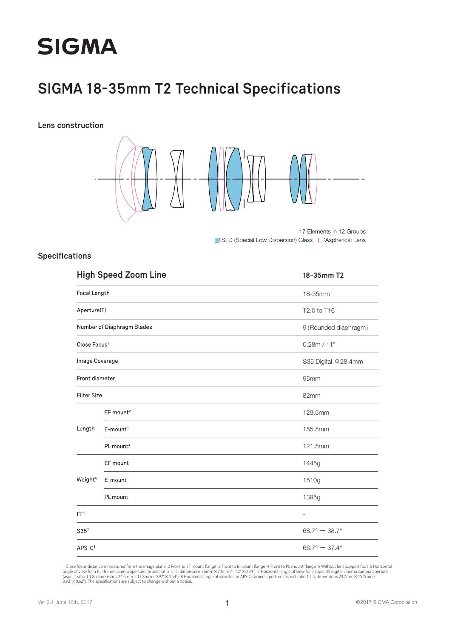

### **SIGMA 18-35mm T2 Technical Specifications**

**Lens construction**



■:SLD (Special Low Dispersion) Glass ■:Aspherical Lens 17 Elements in 12 Groups

#### **Specifications**

| <b>High Speed Zoom Line</b><br>Focal Length |                         | 18-35mm T2                |
|---------------------------------------------|-------------------------|---------------------------|
|                                             |                         | 18-35mm                   |
| Aperture(T)                                 |                         | T2.0 to T16               |
| Number of Diaphragm Blades                  |                         | 9 (Rounded diaphragm)     |
| Close Focus <sup>1</sup>                    |                         | 0.28m / 11"               |
| Image Coverage                              |                         | S35 Digital ¢28.4mm       |
| Front diameter                              |                         | 95mm                      |
| <b>Filter Size</b>                          |                         | 82mm                      |
|                                             | EF mount <sup>2</sup>   | 129.5mm                   |
| Length                                      | $E$ -mount <sup>3</sup> | 155.5mm                   |
|                                             | PL mount <sup>4</sup>   | 121.5mm                   |
|                                             | EF mount                | 1445g                     |
| Weight <sup>5</sup>                         | E-mount                 | 1510g                     |
|                                             | PL mount                | 1395g                     |
| FF <sup>6</sup>                             |                         | $\overline{\phantom{a}}$  |
| S35 <sup>7</sup>                            |                         | $68.7^\circ - 38.7^\circ$ |
| $APS-C8$                                    |                         | $66.7^\circ - 37.4^\circ$ |

1 Close focus distance is measured from the image plane 2 Front to EF mount flange 3 Front to E-mount flange 4 Front to PL mount flange 5 Without lens support foot 6 Horizontal<br>angle of view for a full-frame camera apertur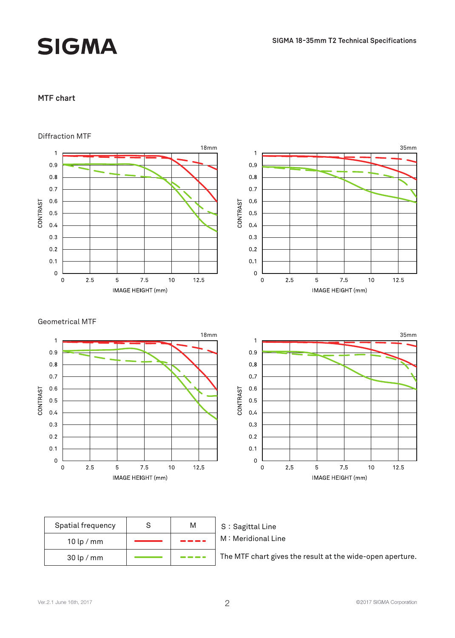# **SIGMA**

#### **MTF chart**



| Spatial frequency | м |  |
|-------------------|---|--|
| $10$ lp / mm      |   |  |
| $30$ lp / mm      |   |  |



The MTF chart gives the result at the wide-open aperture.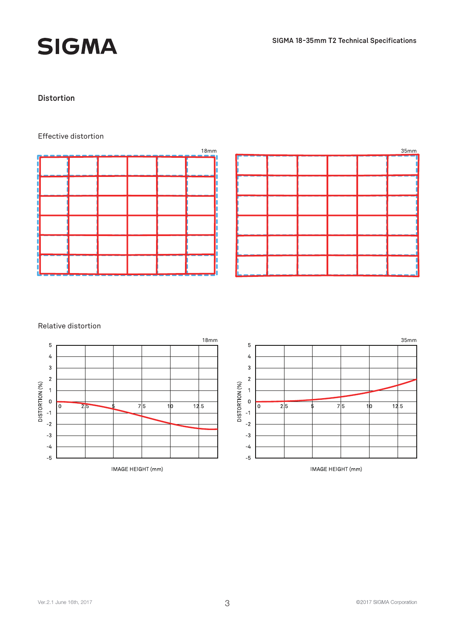## **SIGMA**

#### **Distortion**

#### Effective distortion





#### Relative distortion